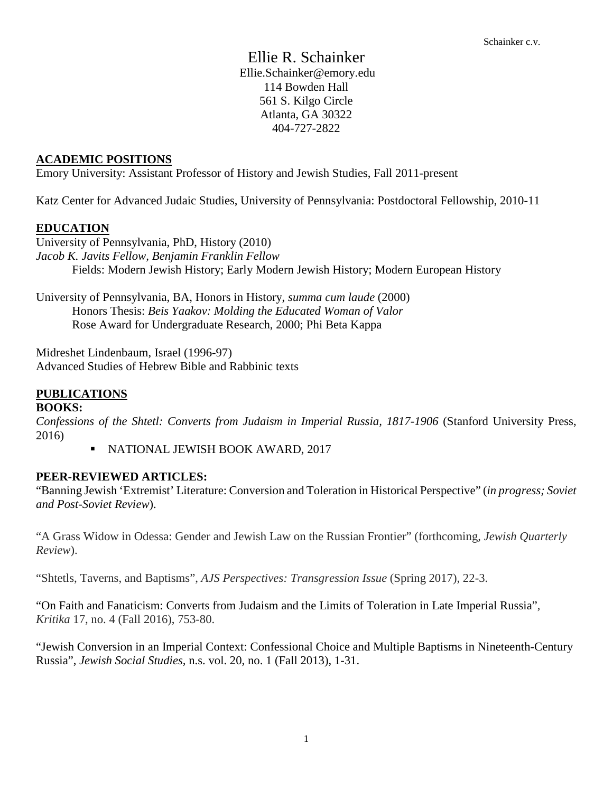Ellie R. Schainker Ellie.Schainker@emory.edu 114 Bowden Hall 561 S. Kilgo Circle Atlanta, GA 30322 404-727-2822

### **ACADEMIC POSITIONS**

Emory University: Assistant Professor of History and Jewish Studies, Fall 2011-present

Katz Center for Advanced Judaic Studies, University of Pennsylvania: Postdoctoral Fellowship, 2010-11

### **EDUCATION**

University of Pennsylvania, PhD, History (2010) *Jacob K. Javits Fellow, Benjamin Franklin Fellow* Fields: Modern Jewish History; Early Modern Jewish History; Modern European History

University of Pennsylvania, BA, Honors in History, *summa cum laude* (2000) Honors Thesis: *Beis Yaakov: Molding the Educated Woman of Valor* Rose Award for Undergraduate Research, 2000; Phi Beta Kappa

Midreshet Lindenbaum, Israel (1996-97) Advanced Studies of Hebrew Bible and Rabbinic texts

### **PUBLICATIONS**

### **BOOKS:**

*Confessions of the Shtetl: Converts from Judaism in Imperial Russia, 1817-1906* (Stanford University Press, 2016)

NATIONAL JEWISH BOOK AWARD, 2017

### **PEER-REVIEWED ARTICLES:**

"Banning Jewish 'Extremist' Literature: Conversion and Toleration in Historical Perspective" (*in progress; Soviet and Post-Soviet Review*).

"A Grass Widow in Odessa: Gender and Jewish Law on the Russian Frontier" (forthcoming*, Jewish Quarterly Review*).

"Shtetls, Taverns, and Baptisms", *AJS Perspectives: Transgression Issue* (Spring 2017), 22-3.

"On Faith and Fanaticism: Converts from Judaism and the Limits of Toleration in Late Imperial Russia", *Kritika* 17, no. 4 (Fall 2016), 753-80.

"Jewish Conversion in an Imperial Context: Confessional Choice and Multiple Baptisms in Nineteenth-Century Russia", *Jewish Social Studies,* n.s. vol. 20, no. 1 (Fall 2013), 1-31.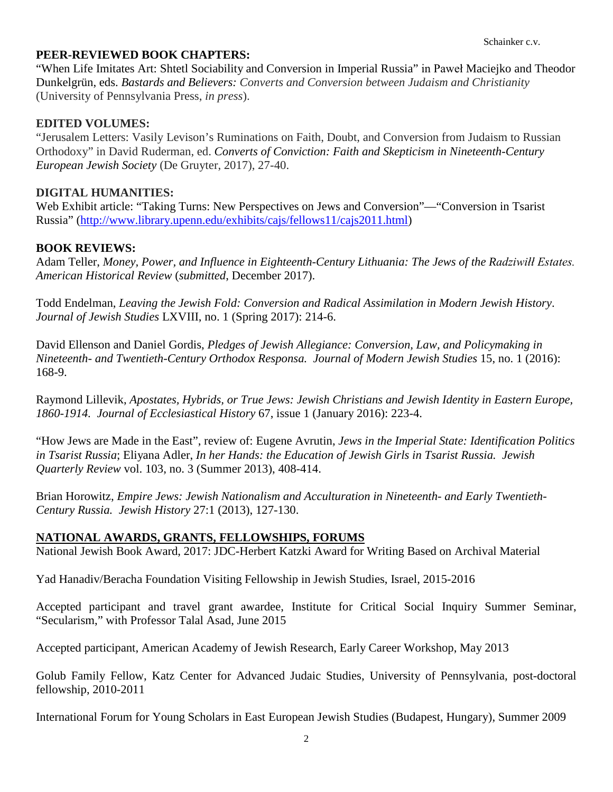## **PEER-REVIEWED BOOK CHAPTERS:**

"When Life Imitates Art: Shtetl Sociability and Conversion in Imperial Russia" in Paweł Maciejko and Theodor Dunkelgrün, eds. *Bastards and Believers: Converts and Conversion between Judaism and Christianity* (University of Pennsylvania Press, *in press*).

### **EDITED VOLUMES:**

"Jerusalem Letters: Vasily Levison's Ruminations on Faith, Doubt, and Conversion from Judaism to Russian Orthodoxy" in David Ruderman, ed. *Converts of Conviction: Faith and Skepticism in Nineteenth-Century European Jewish Society* (De Gruyter, 2017), 27-40.

### **DIGITAL HUMANITIES:**

Web Exhibit article: "Taking Turns: New Perspectives on Jews and Conversion"—"Conversion in Tsarist Russia" [\(http://www.library.upenn.edu/exhibits/cajs/fellows11/cajs2011.html\)](http://www.library.upenn.edu/exhibits/cajs/fellows11/cajs2011.html)

### **BOOK REVIEWS:**

Adam Teller, *Money, Power, and Influence in Eighteenth-Century Lithuania: The Jews of the Radziwiłł Estates. American Historical Review* (*submitted*, December 2017).

Todd Endelman, *Leaving the Jewish Fold: Conversion and Radical Assimilation in Modern Jewish History*. *Journal of Jewish Studies* LXVIII, no. 1 (Spring 2017): 214-6.

David Ellenson and Daniel Gordis, *Pledges of Jewish Allegiance: Conversion, Law, and Policymaking in Nineteenth- and Twentieth-Century Orthodox Responsa. Journal of Modern Jewish Studies* 15, no. 1 (2016): 168-9.

Raymond Lillevik, *Apostates, Hybrids, or True Jews: Jewish Christians and Jewish Identity in Eastern Europe, 1860-1914. Journal of Ecclesiastical History* 67, issue 1 (January 2016): 223-4.

"How Jews are Made in the East", review of: Eugene Avrutin, *Jews in the Imperial State: Identification Politics in Tsarist Russia*; Eliyana Adler, *In her Hands: the Education of Jewish Girls in Tsarist Russia. Jewish Quarterly Review* vol. 103, no. 3 (Summer 2013), 408-414.

Brian Horowitz, *Empire Jews: Jewish Nationalism and Acculturation in Nineteenth- and Early Twentieth-Century Russia. Jewish History* 27:1 (2013), 127-130.

### **NATIONAL AWARDS, GRANTS, FELLOWSHIPS, FORUMS**

National Jewish Book Award, 2017: JDC-Herbert Katzki Award for Writing Based on Archival Material

Yad Hanadiv/Beracha Foundation Visiting Fellowship in Jewish Studies, Israel, 2015-2016

Accepted participant and travel grant awardee, Institute for Critical Social Inquiry Summer Seminar, "Secularism," with Professor Talal Asad, June 2015

Accepted participant, American Academy of Jewish Research, Early Career Workshop, May 2013

Golub Family Fellow, Katz Center for Advanced Judaic Studies, University of Pennsylvania, post-doctoral fellowship, 2010-2011

International Forum for Young Scholars in East European Jewish Studies (Budapest, Hungary), Summer 2009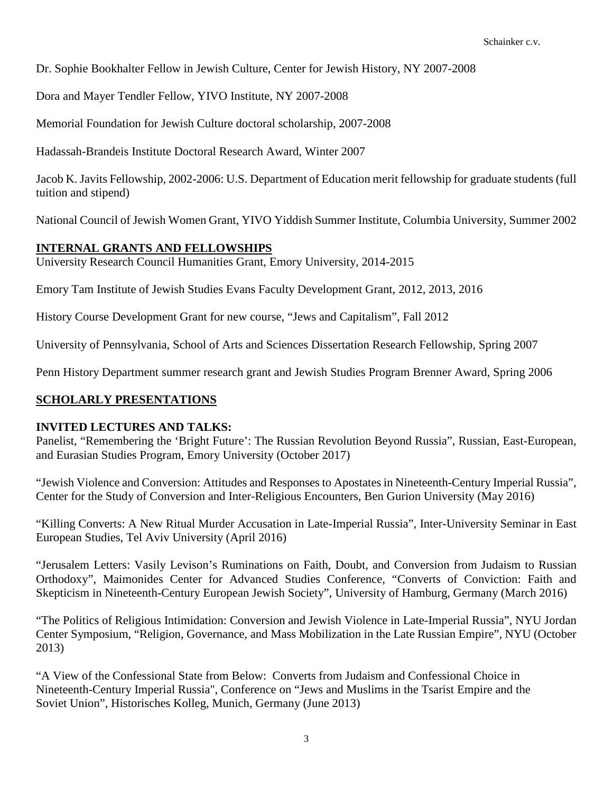Dr. Sophie Bookhalter Fellow in Jewish Culture, Center for Jewish History, NY 2007-2008

Dora and Mayer Tendler Fellow, YIVO Institute, NY 2007-2008

Memorial Foundation for Jewish Culture doctoral scholarship, 2007-2008

Hadassah-Brandeis Institute Doctoral Research Award, Winter 2007

Jacob K. Javits Fellowship, 2002-2006: U.S. Department of Education merit fellowship for graduate students (full tuition and stipend)

National Council of Jewish Women Grant, YIVO Yiddish Summer Institute, Columbia University, Summer 2002

### **INTERNAL GRANTS AND FELLOWSHIPS**

University Research Council Humanities Grant, Emory University, 2014-2015

Emory Tam Institute of Jewish Studies Evans Faculty Development Grant, 2012, 2013, 2016

History Course Development Grant for new course, "Jews and Capitalism", Fall 2012

University of Pennsylvania, School of Arts and Sciences Dissertation Research Fellowship, Spring 2007

Penn History Department summer research grant and Jewish Studies Program Brenner Award, Spring 2006

## **SCHOLARLY PRESENTATIONS**

### **INVITED LECTURES AND TALKS:**

Panelist, "Remembering the 'Bright Future': The Russian Revolution Beyond Russia", Russian, East-European, and Eurasian Studies Program, Emory University (October 2017)

"Jewish Violence and Conversion: Attitudes and Responses to Apostates in Nineteenth-Century Imperial Russia", Center for the Study of Conversion and Inter-Religious Encounters, Ben Gurion University (May 2016)

"Killing Converts: A New Ritual Murder Accusation in Late-Imperial Russia", Inter-University Seminar in East European Studies, Tel Aviv University (April 2016)

"Jerusalem Letters: Vasily Levison's Ruminations on Faith, Doubt, and Conversion from Judaism to Russian Orthodoxy", Maimonides Center for Advanced Studies Conference, "Converts of Conviction: Faith and Skepticism in Nineteenth-Century European Jewish Society", University of Hamburg, Germany (March 2016)

"The Politics of Religious Intimidation: Conversion and Jewish Violence in Late-Imperial Russia", NYU Jordan Center Symposium, "Religion, Governance, and Mass Mobilization in the Late Russian Empire", NYU (October 2013)

"A View of the Confessional State from Below: Converts from Judaism and Confessional Choice in Nineteenth-Century Imperial Russia", Conference on "Jews and Muslims in the Tsarist Empire and the Soviet Union", Historisches Kolleg, Munich, Germany (June 2013)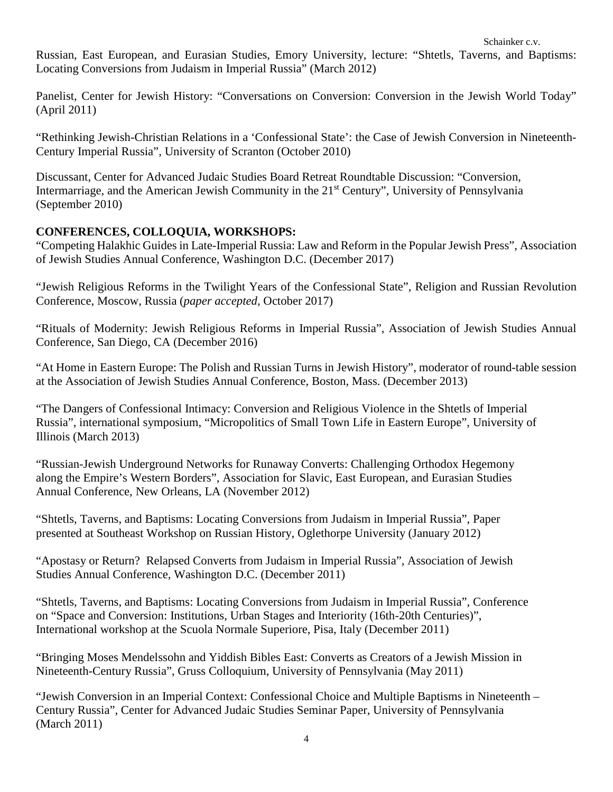Russian, East European, and Eurasian Studies, Emory University, lecture: "Shtetls, Taverns, and Baptisms: Locating Conversions from Judaism in Imperial Russia" (March 2012)

Panelist, Center for Jewish History: "Conversations on Conversion: Conversion in the Jewish World Today" (April 2011)

"Rethinking Jewish-Christian Relations in a 'Confessional State': the Case of Jewish Conversion in Nineteenth-Century Imperial Russia", University of Scranton (October 2010)

Discussant, Center for Advanced Judaic Studies Board Retreat Roundtable Discussion: "Conversion, Intermarriage, and the American Jewish Community in the 21st Century", University of Pennsylvania (September 2010)

# **CONFERENCES, COLLOQUIA, WORKSHOPS:**

"Competing Halakhic Guides in Late-Imperial Russia: Law and Reform in the Popular Jewish Press", Association of Jewish Studies Annual Conference, Washington D.C. (December 2017)

"Jewish Religious Reforms in the Twilight Years of the Confessional State", Religion and Russian Revolution Conference, Moscow, Russia (*paper accepted,* October 2017)

"Rituals of Modernity: Jewish Religious Reforms in Imperial Russia", Association of Jewish Studies Annual Conference, San Diego, CA (December 2016)

"At Home in Eastern Europe: The Polish and Russian Turns in Jewish History", moderator of round-table session at the Association of Jewish Studies Annual Conference, Boston, Mass. (December 2013)

"The Dangers of Confessional Intimacy: Conversion and Religious Violence in the Shtetls of Imperial Russia", international symposium, "Micropolitics of Small Town Life in Eastern Europe", University of Illinois (March 2013)

"Russian-Jewish Underground Networks for Runaway Converts: Challenging Orthodox Hegemony along the Empire's Western Borders", Association for Slavic, East European, and Eurasian Studies Annual Conference, New Orleans, LA (November 2012)

"Shtetls, Taverns, and Baptisms: Locating Conversions from Judaism in Imperial Russia", Paper presented at Southeast Workshop on Russian History, Oglethorpe University (January 2012)

"Apostasy or Return? Relapsed Converts from Judaism in Imperial Russia", Association of Jewish Studies Annual Conference, Washington D.C. (December 2011)

"Shtetls, Taverns, and Baptisms: Locating Conversions from Judaism in Imperial Russia", Conference on "Space and Conversion: Institutions, Urban Stages and Interiority (16th-20th Centuries)", International workshop at the Scuola Normale Superiore, Pisa, Italy (December 2011)

"Bringing Moses Mendelssohn and Yiddish Bibles East: Converts as Creators of a Jewish Mission in Nineteenth-Century Russia", Gruss Colloquium, University of Pennsylvania (May 2011)

"Jewish Conversion in an Imperial Context: Confessional Choice and Multiple Baptisms in Nineteenth – Century Russia", Center for Advanced Judaic Studies Seminar Paper, University of Pennsylvania (March 2011)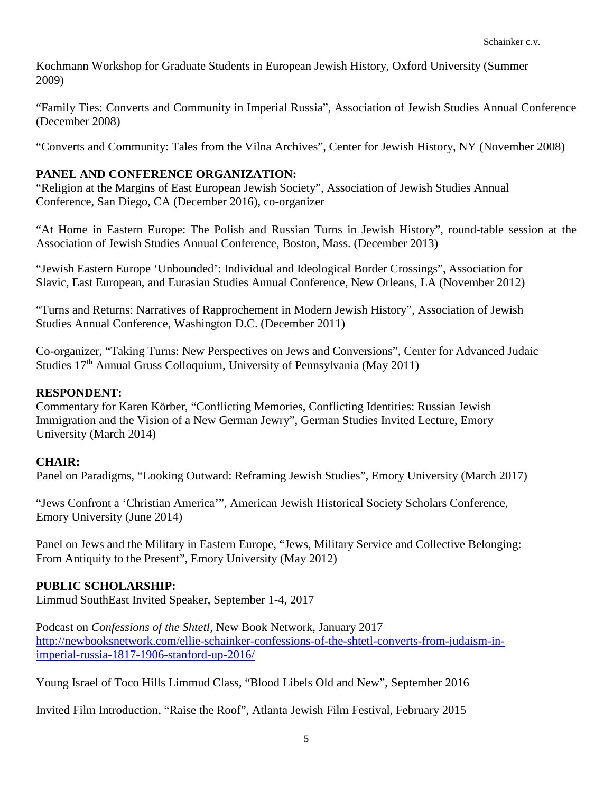Kochmann Workshop for Graduate Students in European Jewish History, Oxford University (Summer 2009)

"Family Ties: Converts and Community in Imperial Russia", Association of Jewish Studies Annual Conference (December 2008)

"Converts and Community: Tales from the Vilna Archives", Center for Jewish History, NY (November 2008)

# **PANEL AND CONFERENCE ORGANIZATION:**

"Religion at the Margins of East European Jewish Society", Association of Jewish Studies Annual Conference, San Diego, CA (December 2016), co-organizer

"At Home in Eastern Europe: The Polish and Russian Turns in Jewish History", round-table session at the Association of Jewish Studies Annual Conference, Boston, Mass. (December 2013)

"Jewish Eastern Europe 'Unbounded': Individual and Ideological Border Crossings", Association for Slavic, East European, and Eurasian Studies Annual Conference, New Orleans, LA (November 2012)

"Turns and Returns: Narratives of Rapprochement in Modern Jewish History", Association of Jewish Studies Annual Conference, Washington D.C. (December 2011)

Co-organizer, "Taking Turns: New Perspectives on Jews and Conversions", Center for Advanced Judaic Studies 17<sup>th</sup> Annual Gruss Colloquium, University of Pennsylvania (May 2011)

## **RESPONDENT:**

Commentary for Karen Körber, "Conflicting Memories, Conflicting Identities: Russian Jewish Immigration and the Vision of a New German Jewry", German Studies Invited Lecture, Emory University (March 2014)

# **CHAIR:**

Panel on Paradigms, "Looking Outward: Reframing Jewish Studies", Emory University (March 2017)

"Jews Confront a 'Christian America'", American Jewish Historical Society Scholars Conference, Emory University (June 2014)

Panel on Jews and the Military in Eastern Europe, "Jews, Military Service and Collective Belonging: From Antiquity to the Present", Emory University (May 2012)

# **PUBLIC SCHOLARSHIP:**

Limmud SouthEast Invited Speaker, September 1-4, 2017

Podcast on *Confessions of the Shtetl,* New Book Network, January 2017 [http://newbooksnetwork.com/ellie-schainker-confessions-of-the-shtetl-converts-from-judaism-in](http://newbooksnetwork.com/ellie-schainker-confessions-of-the-shtetl-converts-from-judaism-in-imperial-russia-1817-1906-stanford-up-2016/)[imperial-russia-1817-1906-stanford-up-2016/](http://newbooksnetwork.com/ellie-schainker-confessions-of-the-shtetl-converts-from-judaism-in-imperial-russia-1817-1906-stanford-up-2016/)

Young Israel of Toco Hills Limmud Class, "Blood Libels Old and New", September 2016

Invited Film Introduction, "Raise the Roof", Atlanta Jewish Film Festival, February 2015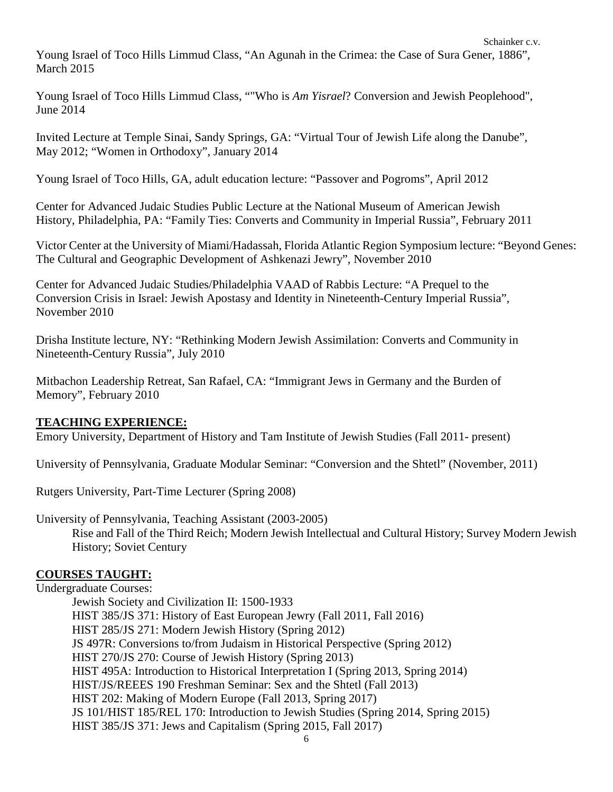Young Israel of Toco Hills Limmud Class, "An Agunah in the Crimea: the Case of Sura Gener, 1886", March 2015

Young Israel of Toco Hills Limmud Class, ""Who is *Am Yisrael*? Conversion and Jewish Peoplehood", June 2014

Invited Lecture at Temple Sinai, Sandy Springs, GA: "Virtual Tour of Jewish Life along the Danube", May 2012; "Women in Orthodoxy", January 2014

Young Israel of Toco Hills, GA, adult education lecture: "Passover and Pogroms", April 2012

Center for Advanced Judaic Studies Public Lecture at the National Museum of American Jewish History, Philadelphia, PA: "Family Ties: Converts and Community in Imperial Russia", February 2011

Victor Center at the University of Miami/Hadassah, Florida Atlantic Region Symposium lecture: "Beyond Genes: The Cultural and Geographic Development of Ashkenazi Jewry", November 2010

Center for Advanced Judaic Studies/Philadelphia VAAD of Rabbis Lecture: "A Prequel to the Conversion Crisis in Israel: Jewish Apostasy and Identity in Nineteenth-Century Imperial Russia", November 2010

Drisha Institute lecture, NY: "Rethinking Modern Jewish Assimilation: Converts and Community in Nineteenth-Century Russia", July 2010

Mitbachon Leadership Retreat, San Rafael, CA: "Immigrant Jews in Germany and the Burden of Memory", February 2010

### **TEACHING EXPERIENCE:**

Emory University, Department of History and Tam Institute of Jewish Studies (Fall 2011- present)

University of Pennsylvania, Graduate Modular Seminar: "Conversion and the Shtetl" (November, 2011)

Rutgers University, Part-Time Lecturer (Spring 2008)

University of Pennsylvania, Teaching Assistant (2003-2005) Rise and Fall of the Third Reich; Modern Jewish Intellectual and Cultural History; Survey Modern Jewish History; Soviet Century

## **COURSES TAUGHT:**

Undergraduate Courses:

Jewish Society and Civilization II: 1500-1933 HIST 385/JS 371: History of East European Jewry (Fall 2011, Fall 2016) HIST 285/JS 271: Modern Jewish History (Spring 2012) JS 497R: Conversions to/from Judaism in Historical Perspective (Spring 2012) HIST 270/JS 270: Course of Jewish History (Spring 2013) HIST 495A: Introduction to Historical Interpretation I (Spring 2013, Spring 2014) HIST/JS/REEES 190 Freshman Seminar: Sex and the Shtetl (Fall 2013) HIST 202: Making of Modern Europe (Fall 2013, Spring 2017) JS 101/HIST 185/REL 170: Introduction to Jewish Studies (Spring 2014, Spring 2015) HIST 385/JS 371: Jews and Capitalism (Spring 2015, Fall 2017)